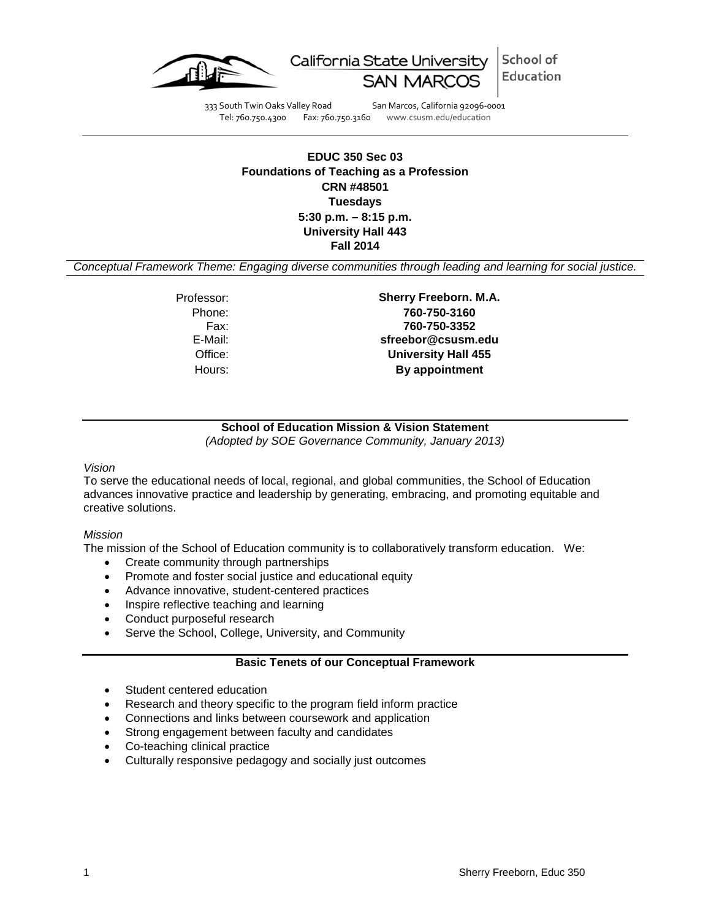

School of California State University Education

333 South Twin Oaks Valley Road San Marcos, California 92096-0001 Tel: 760.750.4300 Fax: 760.750.3160 www.csusm.edu/education

## **EDUC 350 Sec 03 Foundations of Teaching as a Profession CRN #48501 Tuesdays 5:30 p.m. – 8:15 p.m. University Hall 443 Fall 2014**

*Conceptual Framework Theme: Engaging diverse communities through leading and learning for social justice.*

Phone: Fax:<br>:E-Mail

Professor: **Sherry Freeborn. M.A. 760-750-3160 760-750-3352** E-Mail: **sfreebor@csusm.edu** Office: **University Hall 455** Hours: **By appointment**

# **School of Education Mission & Vision Statement**

*(Adopted by SOE Governance Community, January 2013)*

### *Vision*

To serve the educational needs of local, regional, and global communities, the School of Education advances innovative practice and leadership by generating, embracing, and promoting equitable and creative solutions.

### *Mission*

The mission of the School of Education community is to collaboratively transform education. We:

- Create community through partnerships
- Promote and foster social justice and educational equity
- Advance innovative, student-centered practices
- Inspire reflective teaching and learning
- Conduct purposeful research
- Serve the School, College, University, and Community

## **Basic Tenets of our Conceptual Framework**

- Student centered education
- Research and theory specific to the program field inform practice
- Connections and links between coursework and application
- Strong engagement between faculty and candidates
- Co-teaching clinical practice
- Culturally responsive pedagogy and socially just outcomes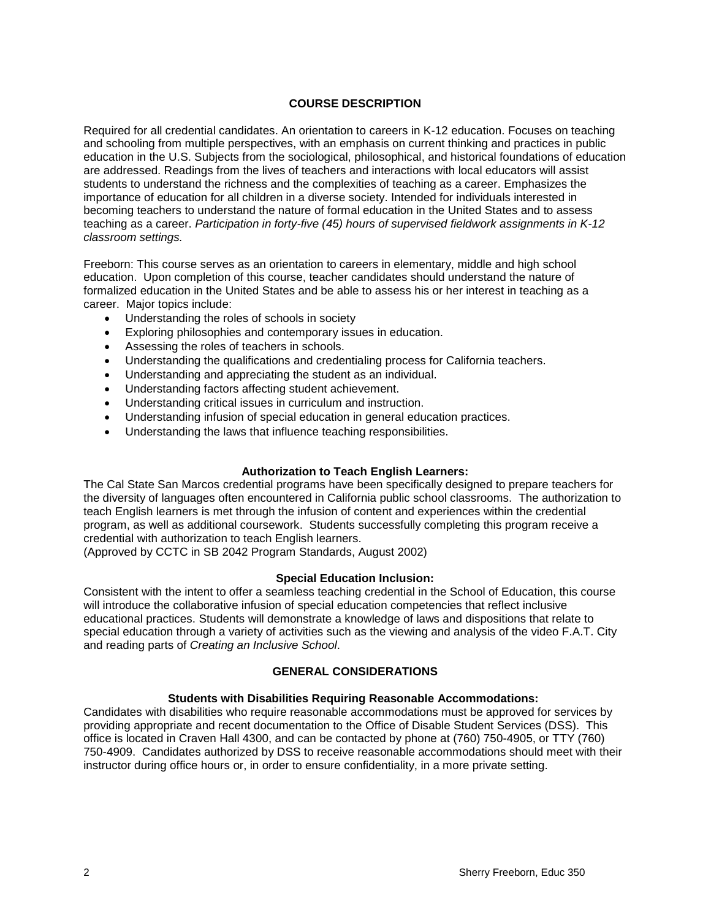## **COURSE DESCRIPTION**

Required for all credential candidates. An orientation to careers in K-12 education. Focuses on teaching and schooling from multiple perspectives, with an emphasis on current thinking and practices in public education in the U.S. Subjects from the sociological, philosophical, and historical foundations of education are addressed. Readings from the lives of teachers and interactions with local educators will assist students to understand the richness and the complexities of teaching as a career. Emphasizes the importance of education for all children in a diverse society. Intended for individuals interested in becoming teachers to understand the nature of formal education in the United States and to assess teaching as a career. *Participation in forty-five (45) hours of supervised fieldwork assignments in K-12 classroom settings.*

Freeborn: This course serves as an orientation to careers in elementary, middle and high school education. Upon completion of this course, teacher candidates should understand the nature of formalized education in the United States and be able to assess his or her interest in teaching as a career. Major topics include:

- Understanding the roles of schools in society
- Exploring philosophies and contemporary issues in education.
- Assessing the roles of teachers in schools.
- Understanding the qualifications and credentialing process for California teachers.
- Understanding and appreciating the student as an individual.
- Understanding factors affecting student achievement.
- Understanding critical issues in curriculum and instruction.
- Understanding infusion of special education in general education practices.
- Understanding the laws that influence teaching responsibilities.

### **Authorization to Teach English Learners:**

The Cal State San Marcos credential programs have been specifically designed to prepare teachers for the diversity of languages often encountered in California public school classrooms. The authorization to teach English learners is met through the infusion of content and experiences within the credential program, as well as additional coursework. Students successfully completing this program receive a credential with authorization to teach English learners.

(Approved by CCTC in SB 2042 Program Standards, August 2002)

### **Special Education Inclusion:**

Consistent with the intent to offer a seamless teaching credential in the School of Education, this course will introduce the collaborative infusion of special education competencies that reflect inclusive educational practices. Students will demonstrate a knowledge of laws and dispositions that relate to special education through a variety of activities such as the viewing and analysis of the video F.A.T. City and reading parts of *Creating an Inclusive School*.

## **GENERAL CONSIDERATIONS**

### **Students with Disabilities Requiring Reasonable Accommodations:**

Candidates with disabilities who require reasonable accommodations must be approved for services by providing appropriate and recent documentation to the Office of Disable Student Services (DSS). This office is located in Craven Hall 4300, and can be contacted by phone at (760) 750-4905, or TTY (760) 750-4909. Candidates authorized by DSS to receive reasonable accommodations should meet with their instructor during office hours or, in order to ensure confidentiality, in a more private setting.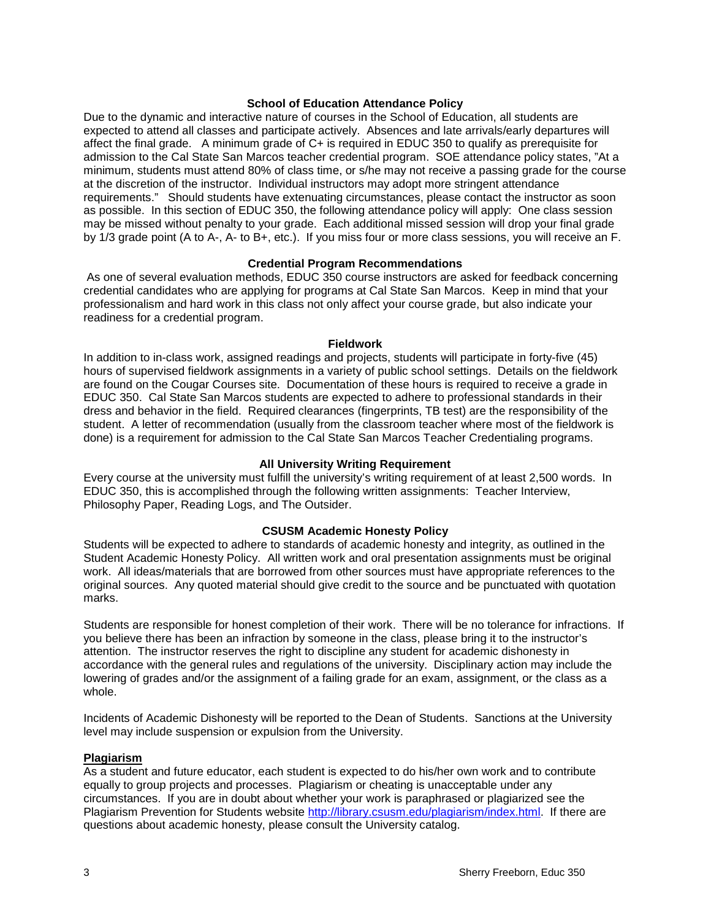#### **School of Education Attendance Policy**

Due to the dynamic and interactive nature of courses in the School of Education, all students are expected to attend all classes and participate actively. Absences and late arrivals/early departures will affect the final grade. A minimum grade of C+ is required in EDUC 350 to qualify as prerequisite for admission to the Cal State San Marcos teacher credential program. SOE attendance policy states, "At a minimum, students must attend 80% of class time, or s/he may not receive a passing grade for the course at the discretion of the instructor. Individual instructors may adopt more stringent attendance requirements." Should students have extenuating circumstances, please contact the instructor as soon as possible. In this section of EDUC 350, the following attendance policy will apply: One class session may be missed without penalty to your grade. Each additional missed session will drop your final grade by 1/3 grade point (A to A-, A- to B+, etc.). If you miss four or more class sessions, you will receive an F.

### **Credential Program Recommendations**

As one of several evaluation methods, EDUC 350 course instructors are asked for feedback concerning credential candidates who are applying for programs at Cal State San Marcos. Keep in mind that your professionalism and hard work in this class not only affect your course grade, but also indicate your readiness for a credential program.

#### **Fieldwork**

In addition to in-class work, assigned readings and projects, students will participate in forty-five (45) hours of supervised fieldwork assignments in a variety of public school settings. Details on the fieldwork are found on the Cougar Courses site. Documentation of these hours is required to receive a grade in EDUC 350. Cal State San Marcos students are expected to adhere to professional standards in their dress and behavior in the field. Required clearances (fingerprints, TB test) are the responsibility of the student. A letter of recommendation (usually from the classroom teacher where most of the fieldwork is done) is a requirement for admission to the Cal State San Marcos Teacher Credentialing programs.

#### **All University Writing Requirement**

Every course at the university must fulfill the university's writing requirement of at least 2,500 words. In EDUC 350, this is accomplished through the following written assignments: Teacher Interview, Philosophy Paper, Reading Logs, and The Outsider.

### **CSUSM Academic Honesty Policy**

Students will be expected to adhere to standards of academic honesty and integrity, as outlined in the Student Academic Honesty Policy. All written work and oral presentation assignments must be original work. All ideas/materials that are borrowed from other sources must have appropriate references to the original sources. Any quoted material should give credit to the source and be punctuated with quotation marks.

Students are responsible for honest completion of their work. There will be no tolerance for infractions. If you believe there has been an infraction by someone in the class, please bring it to the instructor's attention. The instructor reserves the right to discipline any student for academic dishonesty in accordance with the general rules and regulations of the university. Disciplinary action may include the lowering of grades and/or the assignment of a failing grade for an exam, assignment, or the class as a whole.

Incidents of Academic Dishonesty will be reported to the Dean of Students. Sanctions at the University level may include suspension or expulsion from the University.

#### **Plagiarism**

As a student and future educator, each student is expected to do his/her own work and to contribute equally to group projects and processes. Plagiarism or cheating is unacceptable under any circumstances. If you are in doubt about whether your work is paraphrased or plagiarized see the Plagiarism Prevention for Students website [http://library.csusm.edu/plagiarism/index.html.](http://library.csusm.edu/plagiarism/index.html) If there are questions about academic honesty, please consult the University catalog.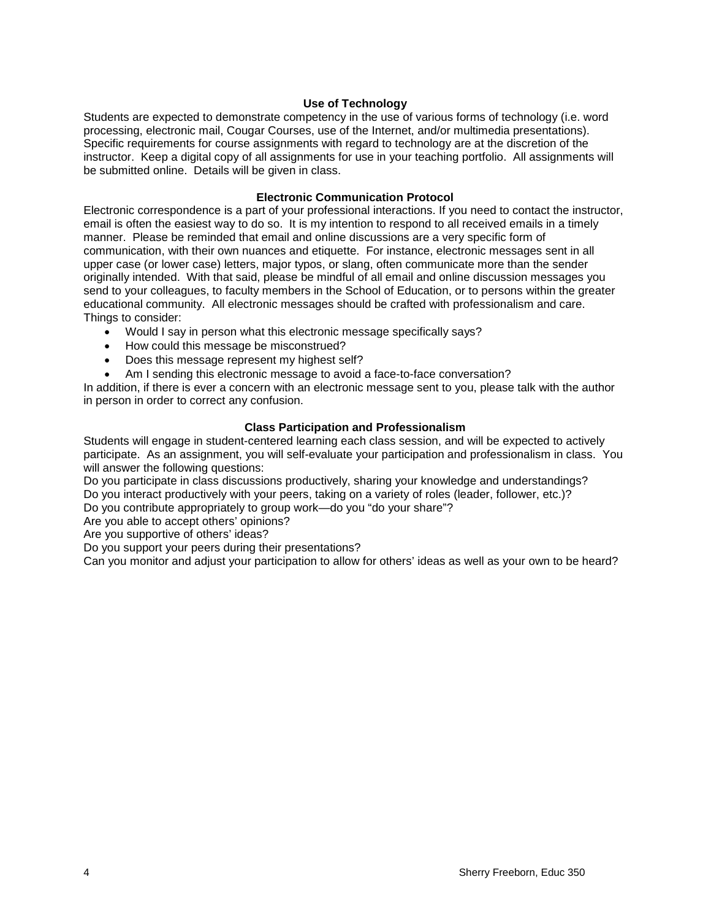## **Use of Technology**

Students are expected to demonstrate competency in the use of various forms of technology (i.e. word processing, electronic mail, Cougar Courses, use of the Internet, and/or multimedia presentations). Specific requirements for course assignments with regard to technology are at the discretion of the instructor. Keep a digital copy of all assignments for use in your teaching portfolio. All assignments will be submitted online. Details will be given in class.

### **Electronic Communication Protocol**

Electronic correspondence is a part of your professional interactions. If you need to contact the instructor, email is often the easiest way to do so. It is my intention to respond to all received emails in a timely manner. Please be reminded that email and online discussions are a very specific form of communication, with their own nuances and etiquette. For instance, electronic messages sent in all upper case (or lower case) letters, major typos, or slang, often communicate more than the sender originally intended. With that said, please be mindful of all email and online discussion messages you send to your colleagues, to faculty members in the School of Education, or to persons within the greater educational community. All electronic messages should be crafted with professionalism and care. Things to consider:

- Would I say in person what this electronic message specifically says?
- How could this message be misconstrued?
- Does this message represent my highest self?
- Am I sending this electronic message to avoid a face-to-face conversation?

In addition, if there is ever a concern with an electronic message sent to you, please talk with the author in person in order to correct any confusion.

## **Class Participation and Professionalism**

Students will engage in student-centered learning each class session, and will be expected to actively participate. As an assignment, you will self-evaluate your participation and professionalism in class. You will answer the following questions:

Do you participate in class discussions productively, sharing your knowledge and understandings? Do you interact productively with your peers, taking on a variety of roles (leader, follower, etc.)?

Do you contribute appropriately to group work—do you "do your share"?

Are you able to accept others' opinions?

Are you supportive of others' ideas?

Do you support your peers during their presentations?

Can you monitor and adjust your participation to allow for others' ideas as well as your own to be heard?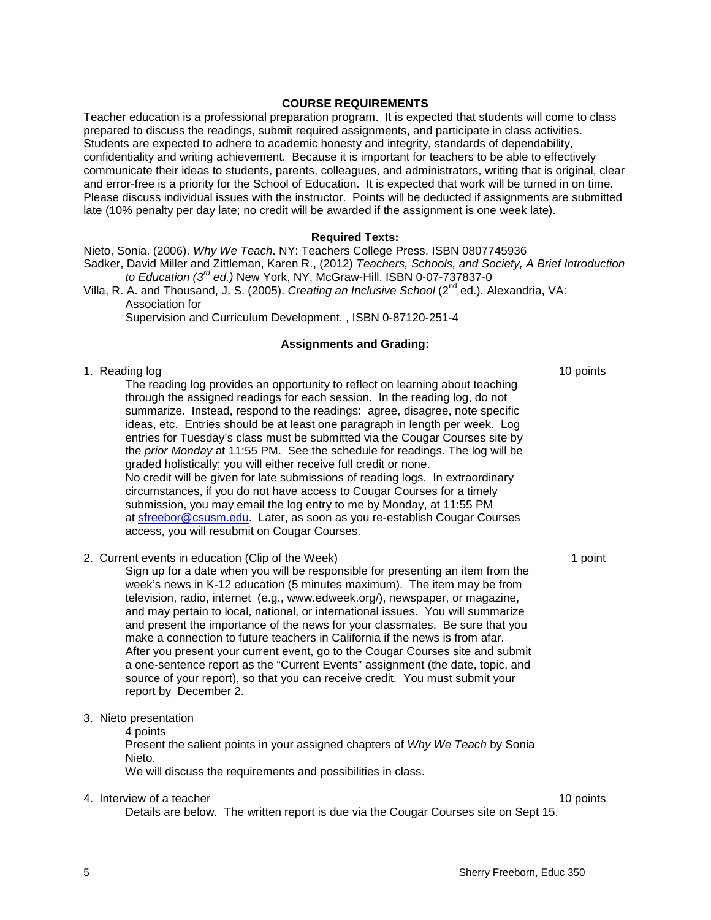### **COURSE REQUIREMENTS**

Teacher education is a professional preparation program. It is expected that students will come to class prepared to discuss the readings, submit required assignments, and participate in class activities. Students are expected to adhere to academic honesty and integrity, standards of dependability, confidentiality and writing achievement. Because it is important for teachers to be able to effectively communicate their ideas to students, parents, colleagues, and administrators, writing that is original, clear and error-free is a priority for the School of Education. It is expected that work will be turned in on time. Please discuss individual issues with the instructor. Points will be deducted if assignments are submitted late (10% penalty per day late; no credit will be awarded if the assignment is one week late).

### **Required Texts:**

Nieto, Sonia. (2006). *Why We Teach*. NY: Teachers College Press. ISBN 0807745936 Sadker, David Miller and Zittleman, Karen R., (2012) *Teachers, Schools, and Society, A Brief Introduction to Education (3rd ed.)* New York, NY, McGraw-Hill. ISBN 0-07-737837-0

Villa, R. A. and Thousand, J. S. (2005). *Creating an Inclusive School* (2nd ed.). Alexandria, VA: Association for

Supervision and Curriculum Development. , ISBN 0-87120-251-4

#### **Assignments and Grading:**

#### 1. Reading log 10 points and 10 points and 10 points are not been applied to the 10 points of the 10 points of the 10 points of the 10 points of the 10 points of the 10 points of the 10 points of the 10 points of the 10 po

The reading log provides an opportunity to reflect on learning about teaching through the assigned readings for each session. In the reading log, do not summarize. Instead, respond to the readings: agree, disagree, note specific ideas, etc. Entries should be at least one paragraph in length per week. Log entries for Tuesday's class must be submitted via the Cougar Courses site by the *prior Monday* at 11:55 PM. See the schedule for readings. The log will be graded holistically; you will either receive full credit or none. No credit will be given for late submissions of reading logs. In extraordinary circumstances, if you do not have access to Cougar Courses for a timely submission, you may email the log entry to me by Monday, at 11:55 PM at [sfreebor@csusm.edu.](mailto:mcdaniel@csusm.edu) Later, as soon as you re-establish Cougar Courses access, you will resubmit on Cougar Courses.

2. Current events in education (Clip of the Week) 1 point 1 point

Sign up for a date when you will be responsible for presenting an item from the week's news in K-12 education (5 minutes maximum). The item may be from television, radio, internet (e.g., www.edweek.org/), newspaper, or magazine, and may pertain to local, national, or international issues. You will summarize and present the importance of the news for your classmates. Be sure that you make a connection to future teachers in California if the news is from afar. After you present your current event, go to the Cougar Courses site and submit a one-sentence report as the "Current Events" assignment (the date, topic, and source of your report), so that you can receive credit. You must submit your report by December 2.

3. Nieto presentation

4 points

Present the salient points in your assigned chapters of *Why We Teach* by Sonia Nieto.

We will discuss the requirements and possibilities in class.

4. Interview of a teacher 10 points and the set of a teacher 10 points of a teacher 10 points of a teacher 10 points of a teacher 10 points of a teacher 10 points of a teacher 10 points of a teacher 10 points of a teacher

Details are below. The written report is due via the Cougar Courses site on Sept 15.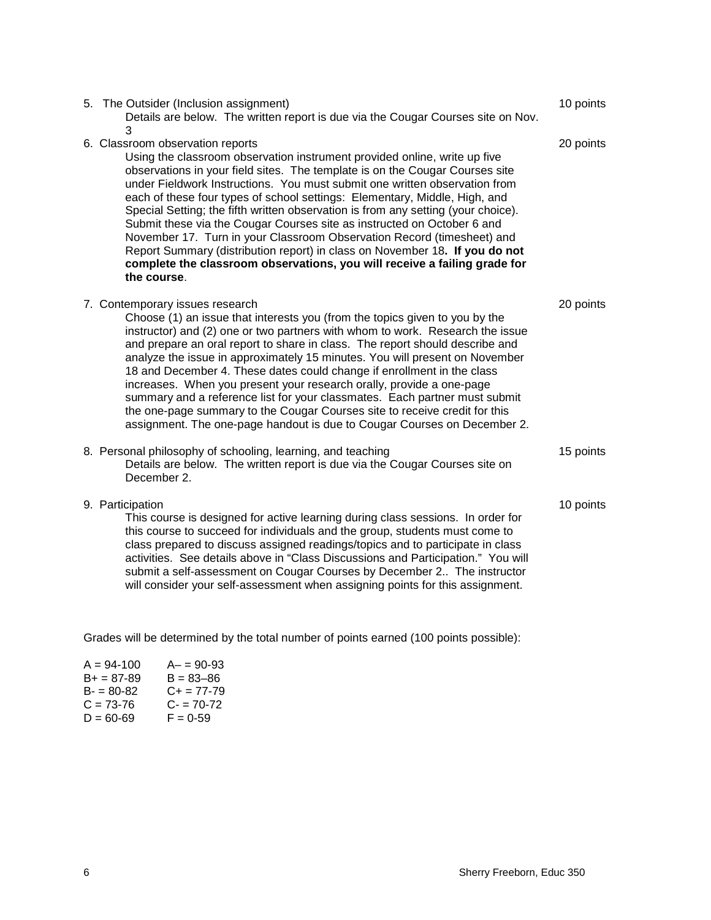| 5. The Outsider (Inclusion assignment)<br>Details are below. The written report is due via the Cougar Courses site on Nov.<br>3                                                                                                                                                                                                                                                                                                                                                                                                                                                                                                                                                                                                                                                | 10 points |
|--------------------------------------------------------------------------------------------------------------------------------------------------------------------------------------------------------------------------------------------------------------------------------------------------------------------------------------------------------------------------------------------------------------------------------------------------------------------------------------------------------------------------------------------------------------------------------------------------------------------------------------------------------------------------------------------------------------------------------------------------------------------------------|-----------|
| 6. Classroom observation reports<br>Using the classroom observation instrument provided online, write up five<br>observations in your field sites. The template is on the Cougar Courses site<br>under Fieldwork Instructions. You must submit one written observation from<br>each of these four types of school settings: Elementary, Middle, High, and<br>Special Setting; the fifth written observation is from any setting (your choice).<br>Submit these via the Cougar Courses site as instructed on October 6 and<br>November 17. Turn in your Classroom Observation Record (timesheet) and<br>Report Summary (distribution report) in class on November 18. If you do not<br>complete the classroom observations, you will receive a failing grade for<br>the course. | 20 points |
| 7. Contemporary issues research<br>Choose (1) an issue that interests you (from the topics given to you by the<br>instructor) and (2) one or two partners with whom to work. Research the issue<br>and prepare an oral report to share in class. The report should describe and<br>analyze the issue in approximately 15 minutes. You will present on November<br>18 and December 4. These dates could change if enrollment in the class<br>increases. When you present your research orally, provide a one-page<br>summary and a reference list for your classmates. Each partner must submit<br>the one-page summary to the Cougar Courses site to receive credit for this<br>assignment. The one-page handout is due to Cougar Courses on December 2.                       | 20 points |
| 8. Personal philosophy of schooling, learning, and teaching<br>Details are below. The written report is due via the Cougar Courses site on<br>December 2.                                                                                                                                                                                                                                                                                                                                                                                                                                                                                                                                                                                                                      | 15 points |
| 9. Participation<br>This course is designed for active learning during class sessions. In order for<br>this course to succeed for individuals and the group, students must come to<br>class prepared to discuss assigned readings/topics and to participate in class<br>activities. See details above in "Class Discussions and Participation." You will<br>submit a self-assessment on Cougar Courses by December 2 The instructor<br>will consider your self-assessment when assigning points for this assignment.                                                                                                                                                                                                                                                           | 10 points |

Grades will be determined by the total number of points earned (100 points possible):

| $A - = 90 - 93$ |
|-----------------|
| $B = 83 - 86$   |
| C+ = 77-79      |
| $C = 70-72$     |
| $F = 0.59$      |
|                 |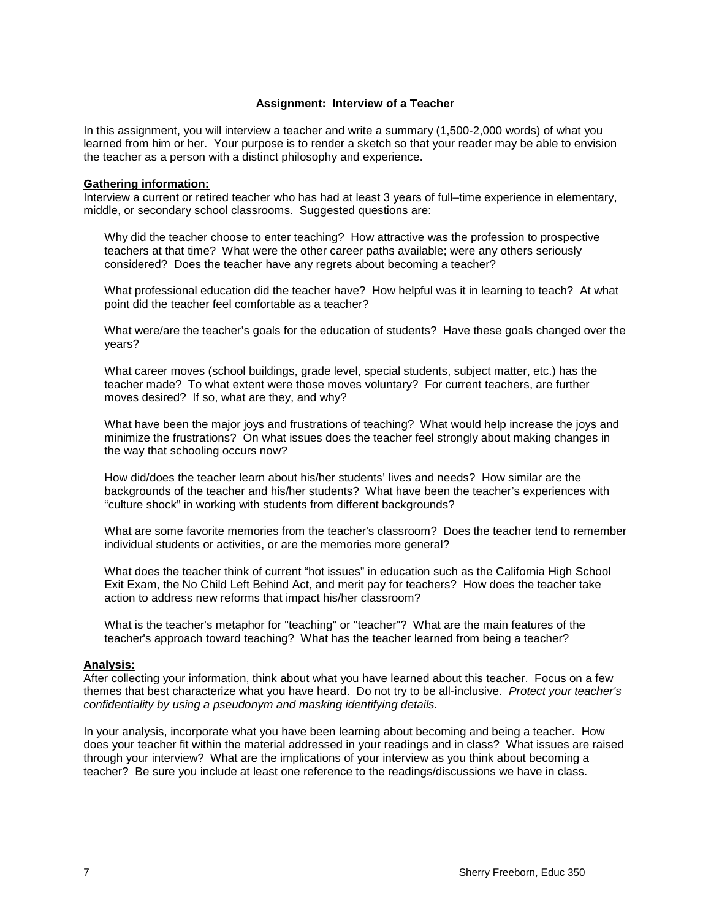#### **Assignment: Interview of a Teacher**

In this assignment, you will interview a teacher and write a summary (1,500-2,000 words) of what you learned from him or her. Your purpose is to render a sketch so that your reader may be able to envision the teacher as a person with a distinct philosophy and experience.

#### **Gathering information:**

Interview a current or retired teacher who has had at least 3 years of full–time experience in elementary, middle, or secondary school classrooms. Suggested questions are:

Why did the teacher choose to enter teaching? How attractive was the profession to prospective teachers at that time? What were the other career paths available; were any others seriously considered? Does the teacher have any regrets about becoming a teacher?

What professional education did the teacher have? How helpful was it in learning to teach? At what point did the teacher feel comfortable as a teacher?

What were/are the teacher's goals for the education of students? Have these goals changed over the years?

What career moves (school buildings, grade level, special students, subject matter, etc.) has the teacher made? To what extent were those moves voluntary? For current teachers, are further moves desired? If so, what are they, and why?

What have been the major joys and frustrations of teaching? What would help increase the joys and minimize the frustrations? On what issues does the teacher feel strongly about making changes in the way that schooling occurs now?

How did/does the teacher learn about his/her students' lives and needs? How similar are the backgrounds of the teacher and his/her students? What have been the teacher's experiences with "culture shock" in working with students from different backgrounds?

What are some favorite memories from the teacher's classroom? Does the teacher tend to remember individual students or activities, or are the memories more general?

What does the teacher think of current "hot issues" in education such as the California High School Exit Exam, the No Child Left Behind Act, and merit pay for teachers? How does the teacher take action to address new reforms that impact his/her classroom?

What is the teacher's metaphor for "teaching" or "teacher"? What are the main features of the teacher's approach toward teaching? What has the teacher learned from being a teacher?

#### **Analysis:**

After collecting your information, think about what you have learned about this teacher. Focus on a few themes that best characterize what you have heard. Do not try to be all-inclusive. *Protect your teacher's confidentiality by using a pseudonym and masking identifying details.*

In your analysis, incorporate what you have been learning about becoming and being a teacher. How does your teacher fit within the material addressed in your readings and in class? What issues are raised through your interview? What are the implications of your interview as you think about becoming a teacher? Be sure you include at least one reference to the readings/discussions we have in class.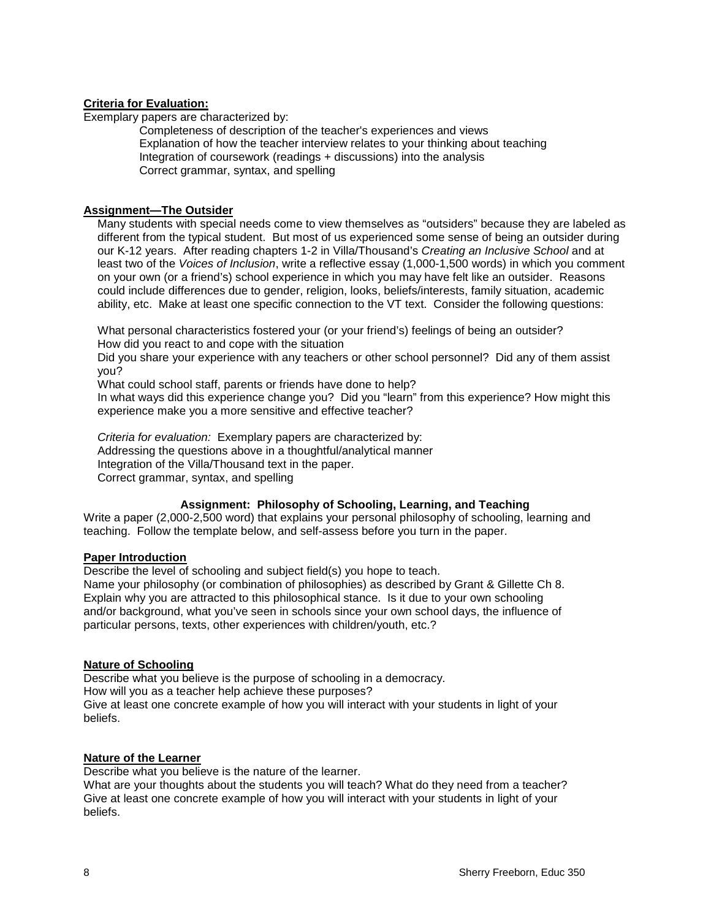### **Criteria for Evaluation:**

Exemplary papers are characterized by:

Completeness of description of the teacher's experiences and views Explanation of how the teacher interview relates to your thinking about teaching Integration of coursework (readings + discussions) into the analysis Correct grammar, syntax, and spelling

## **Assignment—The Outsider**

Many students with special needs come to view themselves as "outsiders" because they are labeled as different from the typical student. But most of us experienced some sense of being an outsider during our K-12 years. After reading chapters 1-2 in Villa/Thousand's *Creating an Inclusive School* and at least two of the *Voices of Inclusion*, write a reflective essay (1,000-1,500 words) in which you comment on your own (or a friend's) school experience in which you may have felt like an outsider. Reasons could include differences due to gender, religion, looks, beliefs/interests, family situation, academic ability, etc. Make at least one specific connection to the VT text. Consider the following questions:

What personal characteristics fostered your (or your friend's) feelings of being an outsider? How did you react to and cope with the situation

Did you share your experience with any teachers or other school personnel? Did any of them assist you?

What could school staff, parents or friends have done to help?

In what ways did this experience change you? Did you "learn" from this experience? How might this experience make you a more sensitive and effective teacher?

*Criteria for evaluation:* Exemplary papers are characterized by: Addressing the questions above in a thoughtful/analytical manner Integration of the Villa/Thousand text in the paper. Correct grammar, syntax, and spelling

## **Assignment: Philosophy of Schooling, Learning, and Teaching**

Write a paper (2,000-2,500 word) that explains your personal philosophy of schooling, learning and teaching. Follow the template below, and self-assess before you turn in the paper.

### **Paper Introduction**

Describe the level of schooling and subject field(s) you hope to teach. Name your philosophy (or combination of philosophies) as described by Grant & Gillette Ch 8. Explain why you are attracted to this philosophical stance. Is it due to your own schooling and/or background, what you've seen in schools since your own school days, the influence of particular persons, texts, other experiences with children/youth, etc.?

## **Nature of Schooling**

Describe what you believe is the purpose of schooling in a democracy.

How will you as a teacher help achieve these purposes?

Give at least one concrete example of how you will interact with your students in light of your beliefs.

## **Nature of the Learner**

Describe what you believe is the nature of the learner.

What are your thoughts about the students you will teach? What do they need from a teacher? Give at least one concrete example of how you will interact with your students in light of your beliefs.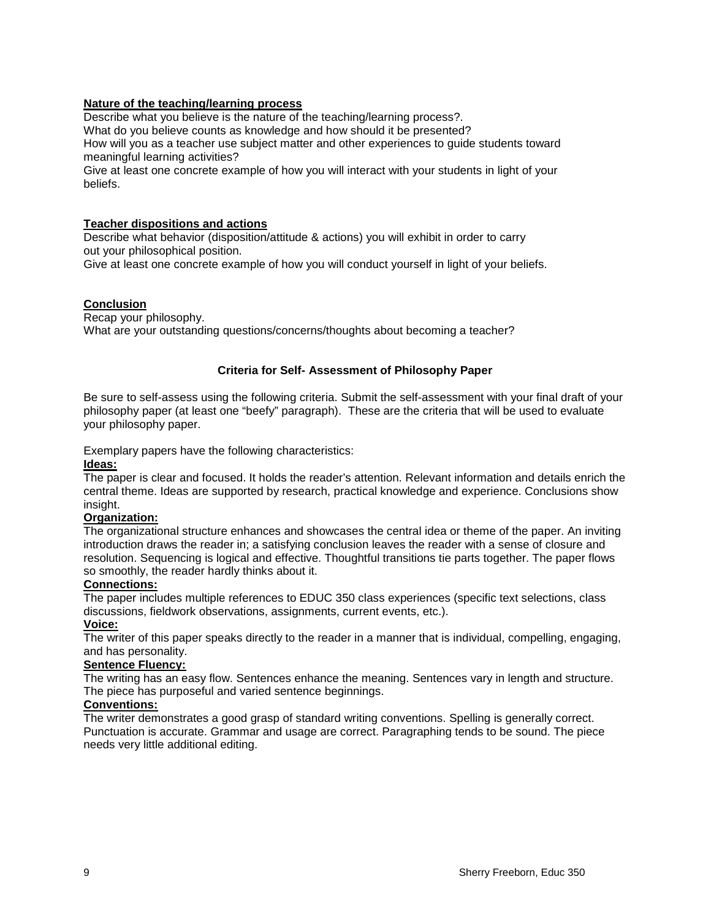### **Nature of the teaching/learning process**

Describe what you believe is the nature of the teaching/learning process?.

What do you believe counts as knowledge and how should it be presented?

How will you as a teacher use subject matter and other experiences to guide students toward meaningful learning activities?

Give at least one concrete example of how you will interact with your students in light of your beliefs.

## **Teacher dispositions and actions**

Describe what behavior (disposition/attitude & actions) you will exhibit in order to carry out your philosophical position.

Give at least one concrete example of how you will conduct yourself in light of your beliefs.

## **Conclusion**

Recap your philosophy. What are your outstanding questions/concerns/thoughts about becoming a teacher?

## **Criteria for Self- Assessment of Philosophy Paper**

Be sure to self-assess using the following criteria. Submit the self-assessment with your final draft of your philosophy paper (at least one "beefy" paragraph). These are the criteria that will be used to evaluate your philosophy paper.

Exemplary papers have the following characteristics:

### **Ideas:**

The paper is clear and focused. It holds the reader's attention. Relevant information and details enrich the central theme. Ideas are supported by research, practical knowledge and experience. Conclusions show insight.

### **Organization:**

The organizational structure enhances and showcases the central idea or theme of the paper. An inviting introduction draws the reader in; a satisfying conclusion leaves the reader with a sense of closure and resolution. Sequencing is logical and effective. Thoughtful transitions tie parts together. The paper flows so smoothly, the reader hardly thinks about it.

### **Connections:**

The paper includes multiple references to EDUC 350 class experiences (specific text selections, class discussions, fieldwork observations, assignments, current events, etc.).

**Voice:** 

The writer of this paper speaks directly to the reader in a manner that is individual, compelling, engaging, and has personality.

## **Sentence Fluency:**

The writing has an easy flow. Sentences enhance the meaning. Sentences vary in length and structure. The piece has purposeful and varied sentence beginnings.

### **Conventions:**

The writer demonstrates a good grasp of standard writing conventions. Spelling is generally correct. Punctuation is accurate. Grammar and usage are correct. Paragraphing tends to be sound. The piece needs very little additional editing.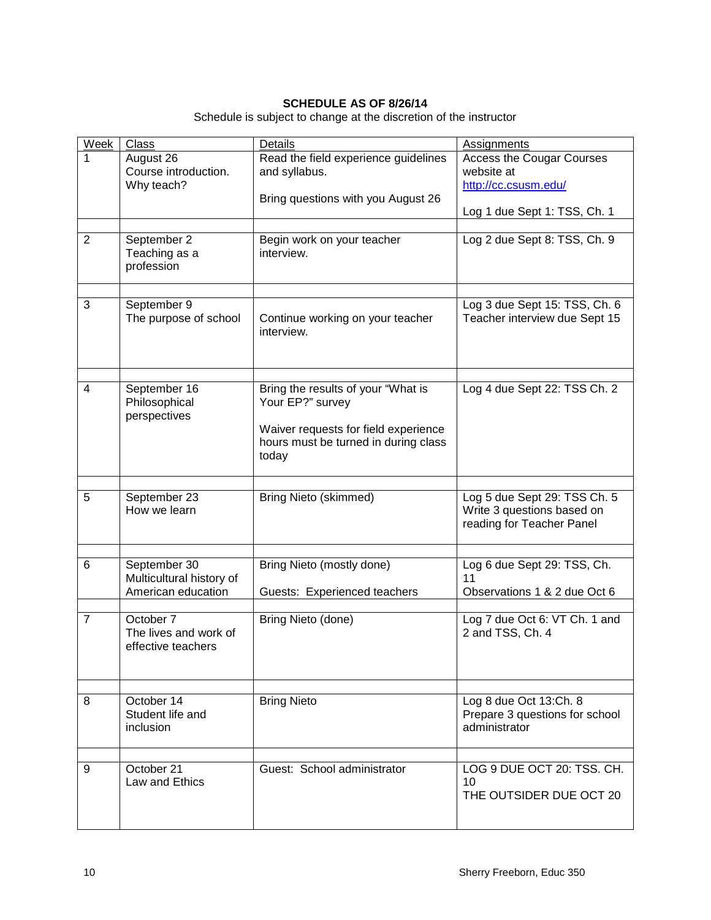# **SCHEDULE AS OF 8/26/14**

Schedule is subject to change at the discretion of the instructor

| Week           | <b>Class</b>                                                   | Details                                                                                                                                         | <b>Assignments</b>                                                                                     |
|----------------|----------------------------------------------------------------|-------------------------------------------------------------------------------------------------------------------------------------------------|--------------------------------------------------------------------------------------------------------|
|                | August 26<br>Course introduction.<br>Why teach?                | Read the field experience guidelines<br>and syllabus.<br>Bring questions with you August 26                                                     | <b>Access the Cougar Courses</b><br>website at<br>http://cc.csusm.edu/<br>Log 1 due Sept 1: TSS, Ch. 1 |
| $\overline{2}$ | September 2<br>Teaching as a<br>profession                     | Begin work on your teacher<br>interview.                                                                                                        | Log 2 due Sept 8: TSS, Ch. 9                                                                           |
| 3              | September 9<br>The purpose of school                           | Continue working on your teacher<br>interview.                                                                                                  | Log 3 due Sept 15: TSS, Ch. 6<br>Teacher interview due Sept 15                                         |
| $\overline{4}$ | September 16<br>Philosophical<br>perspectives                  | Bring the results of your "What is<br>Your EP?" survey<br>Waiver requests for field experience<br>hours must be turned in during class<br>today | Log 4 due Sept 22: TSS Ch. 2                                                                           |
| 5              | September 23<br>How we learn                                   | <b>Bring Nieto (skimmed)</b>                                                                                                                    | Log 5 due Sept 29: TSS Ch. 5<br>Write 3 questions based on<br>reading for Teacher Panel                |
| 6              | September 30<br>Multicultural history of<br>American education | Bring Nieto (mostly done)<br>Guests: Experienced teachers                                                                                       | Log 6 due Sept 29: TSS, Ch.<br>11<br>Observations 1 & 2 due Oct 6                                      |
| $\overline{7}$ | October 7<br>The lives and work of<br>effective teachers       | Bring Nieto (done)                                                                                                                              | Log 7 due Oct 6: VT Ch. 1 and<br>2 and TSS, Ch. 4                                                      |
| 8              | October 14<br>Student life and<br>inclusion                    | <b>Bring Nieto</b>                                                                                                                              | Log 8 due Oct 13:Ch. 8<br>Prepare 3 questions for school<br>administrator                              |
| 9              | October 21<br>Law and Ethics                                   | Guest: School administrator                                                                                                                     | LOG 9 DUE OCT 20: TSS, CH.<br>10<br>THE OUTSIDER DUE OCT 20                                            |